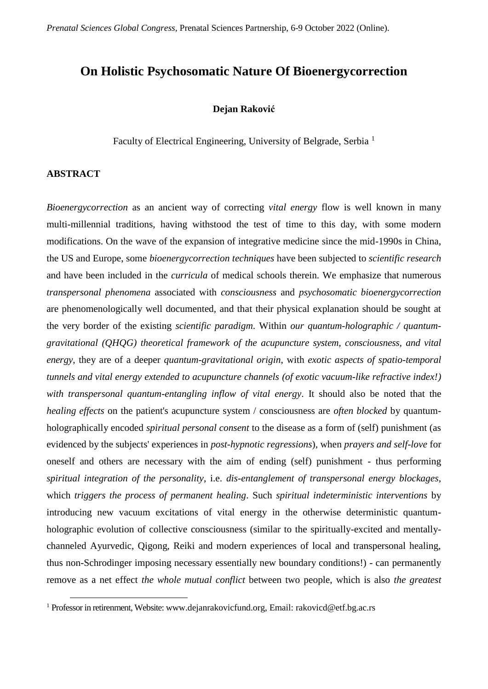# **On Holistic Psychosomatic Nature Of Bioenergycorrection**

### **Dejan Raković**

Faculty of Electrical Engineering, University of Belgrade, Serbia <sup>1</sup>

### **ABSTRACT**

 $\overline{a}$ 

*Bioenergycorrection* as an ancient way of correcting *vital energy* flow is well known in many multi-millennial traditions, having withstood the test of time to this day, with some modern modifications. On the wave of the expansion of integrative medicine since the mid-1990s in China, the US and Europe, some *bioenergycorrection techniques* have been subjected to *scientific research* and have been included in the *curricula* of medical schools therein. We emphasize that numerous *transpersonal phenomena* associated with *consciousness* and *psychosomatic bioenergycorrection* are phenomenologically well documented, and that their physical explanation should be sought at the very border of the existing *scientific paradigm*. Within *our quantum-holographic / quantumgravitational (QHQG) theoretical framework of the acupuncture system, consciousness, and vital energy*, they are of a deeper *quantum-gravitational origin*, with *exotic aspects of spatio-temporal tunnels and vital energy extended to acupuncture channels (of exotic vacuum-like refractive index!) with transpersonal quantum-entangling inflow of vital energy*. It should also be noted that the *healing effects* on the patient's acupuncture system / consciousness are *often blocked* by quantumholographically encoded *spiritual personal consent* to the disease as a form of (self) punishment (as evidenced by the subjects' experiences in *post-hypnotic regressions*), when *prayers and self-love* for oneself and others are necessary with the aim of ending (self) punishment - thus performing *spiritual integration of the personality*, i.e. *dis-entanglement of transpersonal energy blockages*, which *triggers the process of permanent healing*. Such *spiritual indeterministic interventions* by introducing new vacuum excitations of vital energy in the otherwise deterministic quantumholographic evolution of collective consciousness (similar to the spiritually-excited and mentallychanneled Ayurvedic, Qigong, Reiki and modern experiences of local and transpersonal healing, thus non-Schrodinger imposing necessary essentially new boundary conditions!) - can permanently remove as a net effect *the whole mutual conflict* between two people, which is also *the greatest* 

<sup>&</sup>lt;sup>1</sup> Professor in retirenment, Website[: www.dejanrakovicfund.org,](http://www.dejanrakovicfund.org/) Email: rakovicd@etf.bg.ac.rs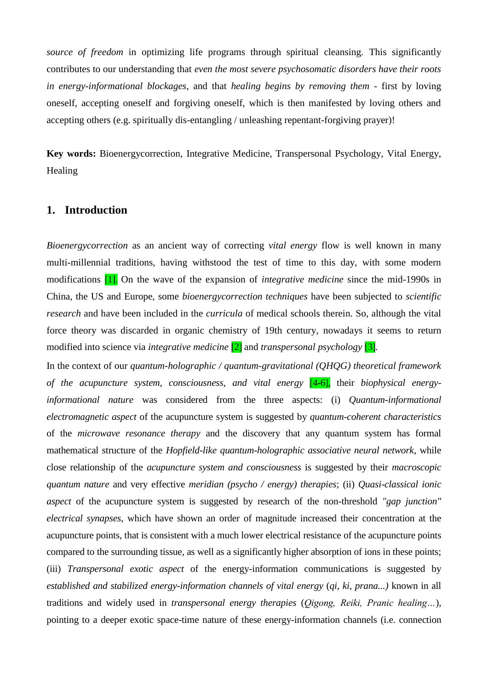*source of freedom* in optimizing life programs through spiritual cleansing. This significantly contributes to our understanding that *even the most severe psychosomatic disorders have their roots in energy-informational blockages*, and that *healing begins by removing them* - first by loving oneself, accepting oneself and forgiving oneself, which is then manifested by loving others and accepting others (e.g. spiritually dis-entangling / unleashing repentant-forgiving prayer)!

**Key words:** Bioenergycorrection, Integrative Medicine, Transpersonal Psychology, Vital Energy, Healing

# **1. Introduction**

*Bioenergycorrection* as an ancient way of correcting *vital energy* flow is well known in many multi-millennial traditions, having withstood the test of time to this day, with some modern modifications [1]. On the wave of the expansion of *integrative medicine* since the mid-1990s in China, the US and Europe, some *bioenergycorrection techniques* have been subjected to *scientific research* and have been included in the *curricula* of medical schools therein. So, although the vital force theory was discarded in organic chemistry of 19th century, nowadays it seems to return modified into science via *integrative medicine* [2] and *transpersonal psychology* [3].

In the context of our *quantum-holographic / quantum-gravitational (QHQG) theoretical framework of the acupuncture system, consciousness, and vital energy* [4-6], their *biophysical energyinformational nature* was considered from the three aspects: (i) *Quantum-informational electromagnetic aspect* of the acupuncture system is suggested by *quantum-coherent characteristics* of the *microwave resonance therapy* and the discovery that any quantum system has formal mathematical structure of the *Hopfield-like quantum-holographic associative neural network*, while close relationship of the *acupuncture system and consciousness* is suggested by their *macroscopic quantum nature* and very effective *meridian (psycho / energy) therapies*; (ii) *Quasi-classical ionic aspect* of the acupuncture system is suggested by research of the non-threshold *"gap junction" electrical synapses*, which have shown an order of magnitude increased their concentration at the acupuncture points, that is consistent with a much lower electrical resistance of the acupuncture points compared to the surrounding tissue, as well as a significantly higher absorption of ions in these points; (iii) *Transpersonal exotic aspect* of the energy-information communications is suggested by *established and stabilized energy-information channels of vital energy* (*qi, ki, prana...)* known in all traditions and widely used in *transpersonal energy therapies* (*Qigong, Reiki, Pranic healing…*), pointing to a deeper exotic space-time nature of these energy-information channels (i.e. connection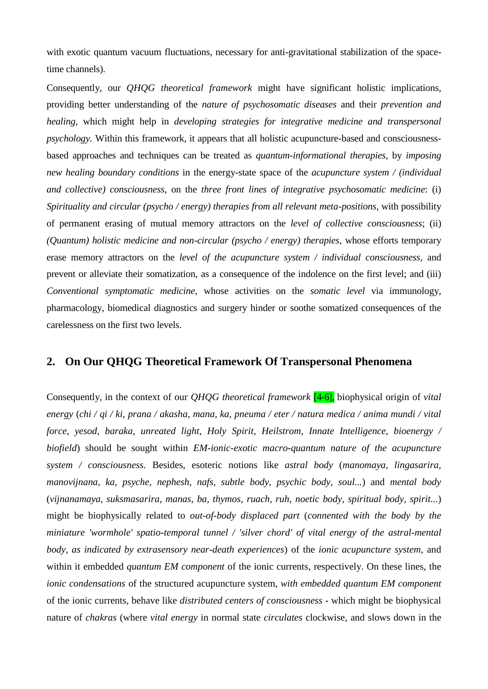with exotic quantum vacuum fluctuations, necessary for anti-gravitational stabilization of the spacetime channels).

Consequently, our *QHQG theoretical framework* might have significant holistic implications, providing better understanding of the *nature of psychosomatic diseases* and their *prevention and healing*, which might help in *developing strategies for integrative medicine and transpersonal psychology.* Within this framework, it appears that all holistic acupuncture-based and consciousnessbased approaches and techniques can be treated as *quantum-informational therapies*, by *imposing new healing boundary conditions* in the energy-state space of the *acupuncture system / (individual and collective) consciousness*, on the *three front lines of integrative psychosomatic medicine*: (i) *Spirituality and circular (psycho / energy) therapies from all relevant meta-positions*, with possibility of permanent erasing of mutual memory attractors on the *level of collective consciousness*; (ii) *(Quantum) holistic medicine and non-circular (psycho / energy) therapies*, whose efforts temporary erase memory attractors on the *level of the acupuncture system / individual consciousness*, and prevent or alleviate their somatization, as a consequence of the indolence on the first level; and (iii) *Conventional symptomatic medicine*, whose activities on the *somatic level* via immunology, pharmacology, biomedical diagnostics and surgery hinder or soothe somatized consequences of the carelessness on the first two levels.

# **2. On Our QHQG Theoretical Framework Of Transpersonal Phenomena**

Consequently, in the context of our *QHQG theoretical framework* [4-6], biophysical origin of *vital energy* (*chi / qi / ki, prana / akasha, mana, ka, pneuma / eter / natura medica / anima mundi / vital force, yesod, baraka, unreated light, Holy Spirit, Heilstrom, Innate Intelligence, bioenergy / biofield*) should be sought within *EM-ionic-exotic macro-quantum nature of the acupuncture system / consciousness.* Besides, esoteric notions like *astral body* (*manomaya, lingasarira, manovijnana, ka, psyche, nephesh, nafs, subtle body, psychic body, soul...*) and *mental body* (*vijnanamaya, suksmasarira, manas, ba, thymos, ruach, ruh, noetic body, spiritual body, spirit...*) might be biophysically related to *out-of-body displaced part* (*connented with the body by the miniature 'wormhole' spatio-temporal tunnel / 'silver chord' of vital energy of the astral-mental body, as indicated by extrasensory near-death experiences*) of the *ionic acupuncture system*, and within it embedded *quantum EM component* of the ionic currents, respectively. On these lines, the *ionic condensations* of the structured acupuncture system, *with embedded quantum EM component* of the ionic currents, behave like *distributed centers of consciousness* - which might be biophysical nature of *chakras* (where *vital energy* in normal state *circulates* clockwise, and slows down in the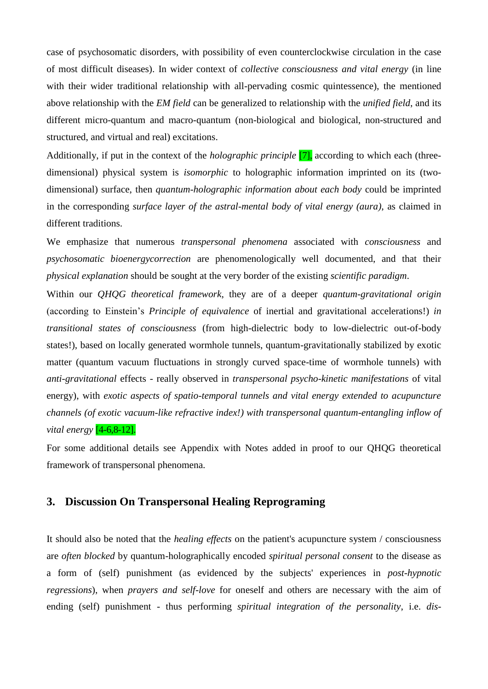case of psychosomatic disorders, with possibility of even counterclockwise circulation in the case of most difficult diseases). In wider context of *collective consciousness and vital energy* (in line with their wider traditional relationship with all-pervading cosmic quintessence), the mentioned above relationship with the *EM field* can be generalized to relationship with the *unified field*, and its different micro-quantum and macro-quantum (non-biological and biological, non-structured and structured, and virtual and real) excitations.

Additionally, if put in the context of the *holographic principle* [7], according to which each (threedimensional) physical system is *isomorphic* to holographic information imprinted on its (twodimensional) surface, then *quantum-holographic information about each body* could be imprinted in the corresponding *surface layer of the astral-mental body of vital energy (aura)*, as claimed in different traditions.

We emphasize that numerous *transpersonal phenomena* associated with *consciousness* and *psychosomatic bioenergycorrection* are phenomenologically well documented, and that their *physical explanation* should be sought at the very border of the existing *scientific paradigm*.

Within our *QHQG theoretical framework*, they are of a deeper *quantum-gravitational origin* (according to Einstein's *Principle of equivalence* of inertial and gravitational accelerations!) *in transitional states of consciousness* (from high-dielectric body to low-dielectric out-of-body states!), based on locally generated wormhole tunnels, quantum-gravitationally stabilized by exotic matter (quantum vacuum fluctuations in strongly curved space-time of wormhole tunnels) with *anti-gravitational* effects - really observed in *transpersonal psycho-kinetic manifestations* of vital energy), with *exotic aspects of spatio-temporal tunnels and vital energy extended to acupuncture channels (of exotic vacuum-like refractive index!) with transpersonal quantum-entangling inflow of vital energy* [4-6,8-12].

For some additional details see Appendix with Notes added in proof to our QHQG theoretical framework of transpersonal phenomena.

# **3. Discussion On Transpersonal Healing Reprograming**

It should also be noted that the *healing effects* on the patient's acupuncture system / consciousness are *often blocked* by quantum-holographically encoded *spiritual personal consent* to the disease as a form of (self) punishment (as evidenced by the subjects' experiences in *post-hypnotic regressions*), when *prayers and self-love* for oneself and others are necessary with the aim of ending (self) punishment - thus performing *spiritual integration of the personality*, i.e. *dis-*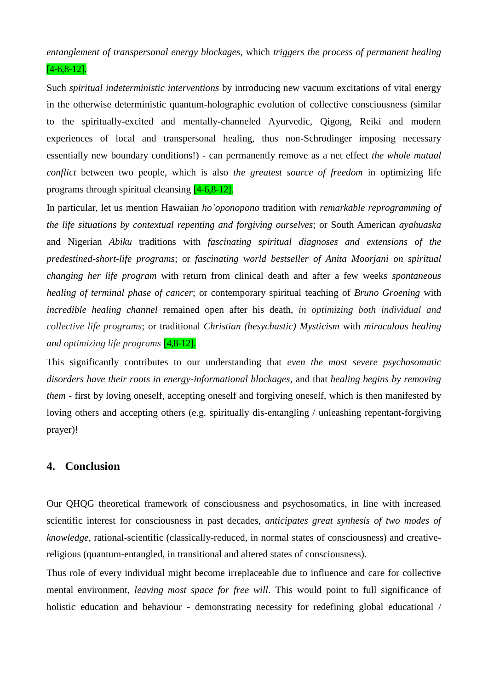*entanglement of transpersonal energy blockages*, which *triggers the process of permanent healing* 

## [4-6,8-12].

Such *spiritual indeterministic interventions* by introducing new vacuum excitations of vital energy in the otherwise deterministic quantum-holographic evolution of collective consciousness (similar to the spiritually-excited and mentally-channeled Ayurvedic, Qigong, Reiki and modern experiences of local and transpersonal healing, thus non-Schrodinger imposing necessary essentially new boundary conditions!) - can permanently remove as a net effect *the whole mutual conflict* between two people, which is also *the greatest source of freedom* in optimizing life programs through spiritual cleansing [4-6,8-12].

In particular, let us mention Hawaiian *ho'oponopono* tradition with *remarkable reprogramming of the life situations by contextual repenting and forgiving ourselves*; or South American *ayahuaska* and Nigerian *Abiku* traditions with *fascinating spiritual diagnoses and extensions of the predestined-short-life programs*; or *fascinating world bestseller of Anita Moorjani on spiritual changing her life program* with return from clinical death and after a few weeks *spontaneous healing of terminal phase of cancer*; or contemporary spiritual teaching of *Bruno Groening* with *incredible healing channel* remained open after his death, *in optimizing both individual and collective life programs*; or traditional *Christian (hesychastic) Mysticism* with *miraculous healing and optimizing life programs* [4,8-12].

This significantly contributes to our understanding that *even the most severe psychosomatic disorders have their roots in energy-informational blockages*, and that *healing begins by removing them* - first by loving oneself, accepting oneself and forgiving oneself, which is then manifested by loving others and accepting others (e.g. spiritually dis-entangling / unleashing repentant-forgiving prayer)!

# **4. Conclusion**

Our QHQG theoretical framework of consciousness and psychosomatics, in line with increased scientific interest for consciousness in past decades, *anticipates great synhesis of two modes of knowledge*, rational-scientific (classically-reduced, in normal states of consciousness) and creativereligious (quantum-entangled, in transitional and altered states of consciousness).

Thus role of every individual might become irreplaceable due to influence and care for collective mental environment, *leaving most space for free will*. This would point to full significance of holistic education and behaviour - demonstrating necessity for redefining global educational /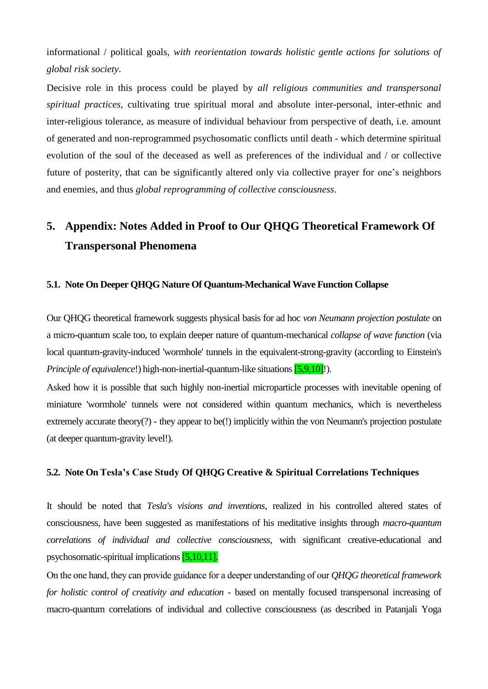informational / political goals, *with reorientation towards holistic gentle actions for solutions of global risk society*.

Decisive role in this process could be played by *all religious communities and transpersonal spiritual practices*, cultivating true spiritual moral and absolute inter-personal, inter-ethnic and inter-religious tolerance, as measure of individual behaviour from perspective of death, i.e. amount of generated and non-reprogrammed psychosomatic conflicts until death - which determine spiritual evolution of the soul of the deceased as well as preferences of the individual and / or collective future of posterity, that can be significantly altered only via collective prayer for one's neighbors and enemies, and thus *global reprogramming of collective consciousness*.

# **5. Appendix: Notes Added in Proof to Our QHQG Theoretical Framework Of Transpersonal Phenomena**

### **5.1. Note On Deeper QHQG Nature Of Quantum-Mechanical Wave Function Collapse**

Our QHQG theoretical framework suggests physical basis for ad hoc *von Neumann projection postulate* on a micro-quantum scale too, to explain deeper nature of quantum-mechanical *collapse of wave function* (via local quantum-gravity-induced 'wormhole' tunnels in the equivalent-strong-gravity (according to Einstein's *Principle of equivalence!*) high-non-inertial-quantum-like situations [5,9,10]!).

Asked how it is possible that such highly non-inertial microparticle processes with inevitable opening of miniature 'wormhole' tunnels were not considered within quantum mechanics, which is nevertheless extremely accurate theory(?) - they appear to be(!) implicitly within the von Neumann's projection postulate (at deeper quantum-gravity level!).

# **5.2. Note On Tesla's Case Study Of QHQG Creative & Spiritual Correlations Techniques**

It should be noted that *Tesla's visions and inventions*, realized in his controlled altered states of consciousness, have been suggested as manifestations of his meditative insights through *macro-quantum correlations of individual and collective consciousness*, with significant creative-educational and psychosomatic-spiritual implications [5,10,11].

Оn the one hand, they can provide guidance for a deeper understanding of our *QHQG theoretical framework for holistic control of creativity and education* - based on mentally focused transpersonal increasing of macro-quantum correlations of individual and collective consciousness (as described in Patanjali Yoga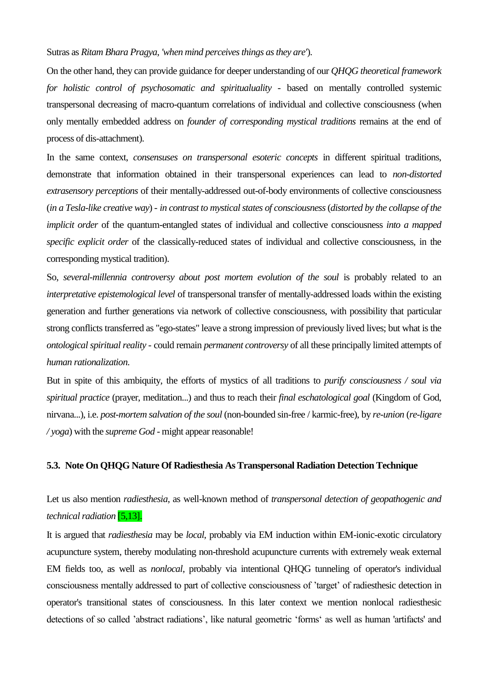### Sutras as *Ritam Bhara Pragya*, *'when mind perceives things as they are'*).

On the other hand, they can provide guidance for deeper understanding of our *QHQG theoretical framework for holistic control of psychosomatic and spiritualuality* - based on mentally controlled systemic transpersonal decreasing of macro-quantum correlations of individual and collective consciousness (when only mentally embedded address on *founder of corresponding mystical traditions* remains at the end of process of dis-attachment).

In the same context, *consensuses on transpersonal esoteric concepts* in different spiritual traditions, demonstrate that information obtained in their transpersonal experiences can lead to *non-distorted extrasensory perceptions* of their mentally-addressed out-of-body environments of collective consciousness (*in a Tesla-like creative way*) - *in contrast to mystical states of consciousness*(*distorted by the collapse of the implicit order* of the quantum-entangled states of individual and collective consciousness *into a mapped specific explicit order* of the classically-reduced states of individual and collective consciousness, in the corresponding mystical tradition).

So, *several-millennia controversy about post mortem evolution of the soul* is probably related to an *interpretative epistemological level* of transpersonal transfer of mentally-addressed loads within the existing generation and further generations via network of collective consciousness, with possibility that particular strong conflicts transferred as "ego-states" leave a strong impression of previously lived lives; but what is the *ontological spiritual reality* - could remain *permanent controversy* of all these principally limited attempts of *human rationalization*.

But in spite of this ambiquity, the efforts of mystics of all traditions to *purify consciousness / soul via spiritual practice* (prayer, meditation...) and thus to reach their *final eschatological goal* (Kingdom of God, nirvana...), i.e. *post-mortem salvation of the soul* (non-bounded sin-free / karmic-free), by *re-union* (*re-ligare / yoga*) with the *supreme God* - might appear reasonable!

#### **5.3. Note On QHQG Nature Of Radiesthesia As Transpersonal Radiation Detection Technique**

Let us also mention *radiesthesia*, as well-known method of *transpersonal detection of geopathogenic and technical radiation* [5,13].

It is argued that *radiesthesia* may be *local*, probably via EM induction within EM-ionic-exotic circulatory acupuncture system, thereby modulating non-threshold acupuncture currents with extremely weak external EM fields too, as well as *nonlocal*, probably via intentional QHQG tunneling of operator's individual consciousness mentally addressed to part of collective consciousness of 'target' of radiesthesic detection in operator's transitional states of consciousness. In this later context we mention nonlocal radiesthesic detections of so called 'abstract radiations', like natural geometric 'forms' as well as human 'artifacts' and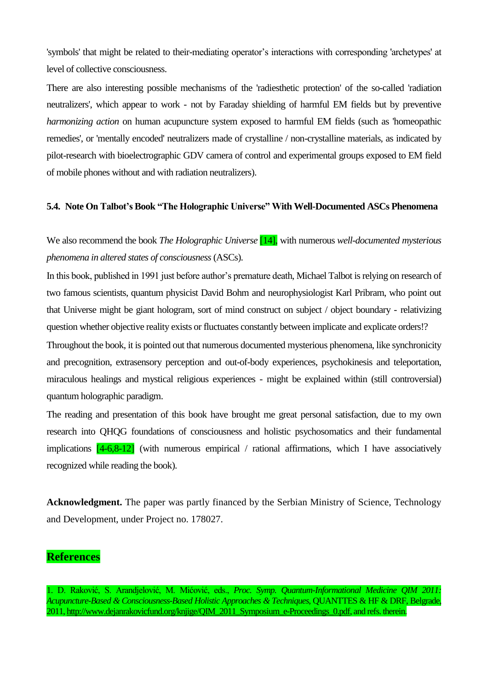'symbols' that might be related to their-mediating operator's interactions with corresponding 'archetypes' at level of collective consciousness.

There are also interesting possible mechanisms of the 'radiesthetic protection' of the so-called 'radiation neutralizers', which appear to work - not by Faraday shielding of harmful EM fields but by preventive *harmonizing action* on human acupuncture system exposed to harmful EM fields (such as 'homeopathic remedies', or 'mentally encoded' neutralizers made of crystalline / non-crystalline materials, as indicated by pilot-research with bioelectrographic GDV camera of control and experimental groups exposed to EM field of mobile phones without and with radiation neutralizers).

### **5.4. Note On Talbot's Book "The Holographic Universe" With Well-Documented ASCs Phenomena**

We also recommend the book *The Holographic Universe* [14], with numerous *well-documented mysterious phenomena in altered states of consciousness* (ASCs).

In this book, published in 1991 just before author's premature death, Michael Talbot is relying on research of two famous scientists, quantum physicist David Bohm and neurophysiologist Karl Pribram, who point out that Universe might be giant hologram, sort of mind construct on subject / object boundary - relativizing question whether objective reality exists or fluctuates constantly between implicate and explicate orders!?

Throughout the book, it is pointed out that numerous documented mysterious phenomena, like synchronicity and precognition, extrasensory perception and out-of-body experiences, psychokinesis and teleportation, miraculous healings and mystical religious experiences - might be explained within (still controversial) quantum holographic paradigm.

The reading and presentation of this book have brought me great personal satisfaction, due to my own research into QHQG foundations of consciousness and holistic psychosomatics and their fundamental implications  $\boxed{4-6,8-12}$  (with numerous empirical / rational affirmations, which I have associatively recognized while reading the book).

**Acknowledgment.** The paper was partly financed by the Serbian Ministry of Science, Technology and Development, under Project no. 178027.

# **References**

<sup>1.</sup> D. Raković, S. Arandjelović, M. Mićović, eds., *Proc. Symp. Quantum-Informational Medicine QIM 2011: Acupuncture-Based & Consciousness-Based Holistic Approaches & Techniques*, QUANTTES & HF & DRF, Belgrade, 2011[, http://www.dejanrakovicfund.org/knjige/QIM\\_2011\\_Symposium\\_e-Proceedings\\_0.pdf,](http://www.dejanrakovicfund.org/knjige/QIM_2011_Symposium_e-Proceedings_0.pdf) and refs. therein.